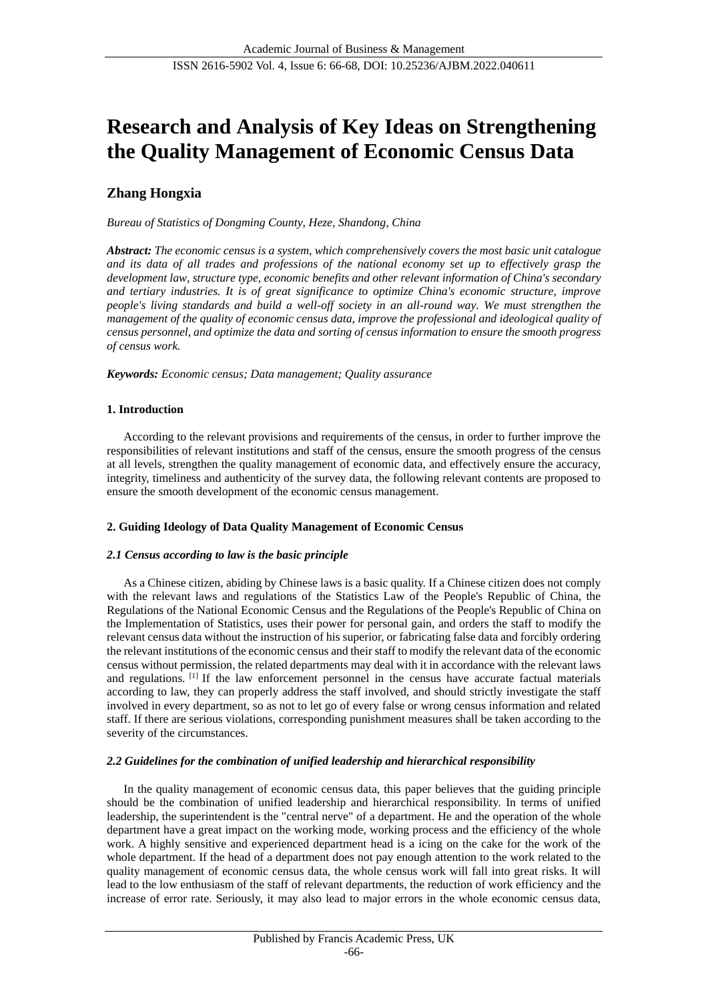# **Research and Analysis of Key Ideas on Strengthening the Quality Management of Economic Census Data**

## **Zhang Hongxia**

*Bureau of Statistics of Dongming County, Heze, Shandong, China*

*Abstract: The economic census is a system, which comprehensively covers the most basic unit catalogue and its data of all trades and professions of the national economy set up to effectively grasp the development law, structure type, economic benefits and other relevant information of China's secondary and tertiary industries. It is of great significance to optimize China's economic structure, improve people's living standards and build a well-off society in an all-round way. We must strengthen the management of the quality of economic census data, improve the professional and ideological quality of census personnel, and optimize the data and sorting of census information to ensure the smooth progress of census work.*

*Keywords: Economic census; Data management; Quality assurance*

## **1. Introduction**

According to the relevant provisions and requirements of the census, in order to further improve the responsibilities of relevant institutions and staff of the census, ensure the smooth progress of the census at all levels, strengthen the quality management of economic data, and effectively ensure the accuracy, integrity, timeliness and authenticity of the survey data, the following relevant contents are proposed to ensure the smooth development of the economic census management.

## **2. Guiding Ideology of Data Quality Management of Economic Census**

## *2.1 Census according to law is the basic principle*

As a Chinese citizen, abiding by Chinese laws is a basic quality. If a Chinese citizen does not comply with the relevant laws and regulations of the Statistics Law of the People's Republic of China, the Regulations of the National Economic Census and the Regulations of the People's Republic of China on the Implementation of Statistics, uses their power for personal gain, and orders the staff to modify the relevant census data without the instruction of his superior, or fabricating false data and forcibly ordering the relevant institutions of the economic census and their staff to modify the relevant data of the economic census without permission, the related departments may deal with it in accordance with the relevant laws and regulations. [1] If the law enforcement personnel in the census have accurate factual materials according to law, they can properly address the staff involved, and should strictly investigate the staff involved in every department, so as not to let go of every false or wrong census information and related staff. If there are serious violations, corresponding punishment measures shall be taken according to the severity of the circumstances.

## *2.2 Guidelines for the combination of unified leadership and hierarchical responsibility*

In the quality management of economic census data, this paper believes that the guiding principle should be the combination of unified leadership and hierarchical responsibility. In terms of unified leadership, the superintendent is the "central nerve" of a department. He and the operation of the whole department have a great impact on the working mode, working process and the efficiency of the whole work. A highly sensitive and experienced department head is a icing on the cake for the work of the whole department. If the head of a department does not pay enough attention to the work related to the quality management of economic census data, the whole census work will fall into great risks. It will lead to the low enthusiasm of the staff of relevant departments, the reduction of work efficiency and the increase of error rate. Seriously, it may also lead to major errors in the whole economic census data,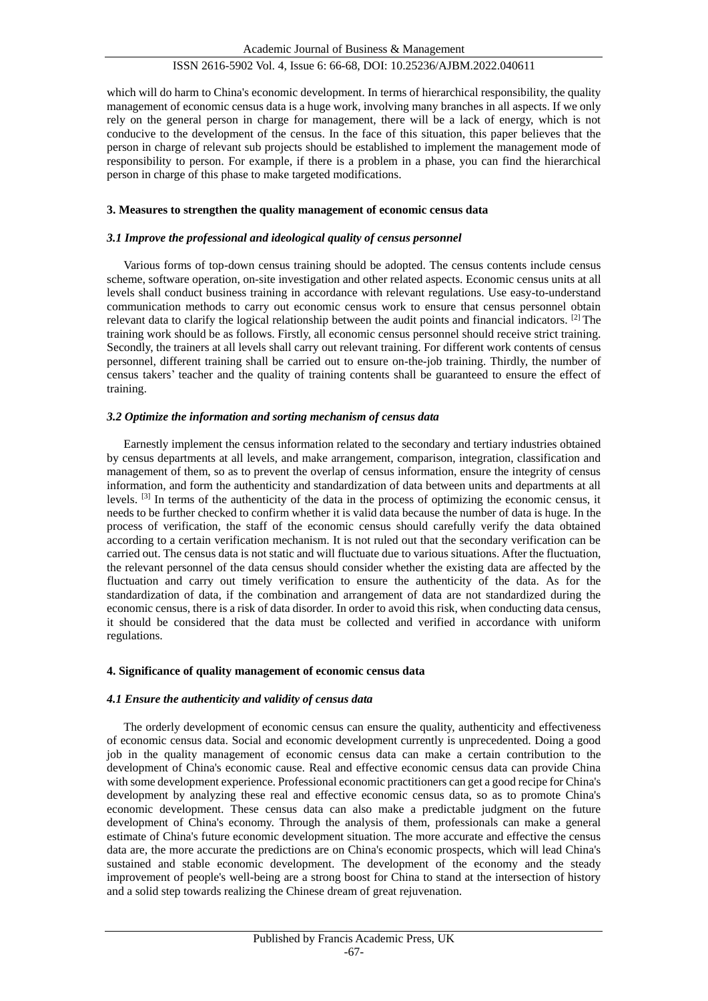## ISSN 2616-5902 Vol. 4, Issue 6: 66-68, DOI: 10.25236/AJBM.2022.040611

which will do harm to China's economic development. In terms of hierarchical responsibility, the quality management of economic census data is a huge work, involving many branches in all aspects. If we only rely on the general person in charge for management, there will be a lack of energy, which is not conducive to the development of the census. In the face of this situation, this paper believes that the person in charge of relevant sub projects should be established to implement the management mode of responsibility to person. For example, if there is a problem in a phase, you can find the hierarchical person in charge of this phase to make targeted modifications.

#### **3. Measures to strengthen the quality management of economic census data**

#### *3.1 Improve the professional and ideological quality of census personnel*

Various forms of top-down census training should be adopted. The census contents include census scheme, software operation, on-site investigation and other related aspects. Economic census units at all levels shall conduct business training in accordance with relevant regulations. Use easy-to-understand communication methods to carry out economic census work to ensure that census personnel obtain relevant data to clarify the logical relationship between the audit points and financial indicators. [2] The training work should be as follows. Firstly, all economic census personnel should receive strict training. Secondly, the trainers at all levels shall carry out relevant training. For different work contents of census personnel, different training shall be carried out to ensure on-the-job training. Thirdly, the number of census takers' teacher and the quality of training contents shall be guaranteed to ensure the effect of training.

#### *3.2 Optimize the information and sorting mechanism of census data*

Earnestly implement the census information related to the secondary and tertiary industries obtained by census departments at all levels, and make arrangement, comparison, integration, classification and management of them, so as to prevent the overlap of census information, ensure the integrity of census information, and form the authenticity and standardization of data between units and departments at all levels. [3] In terms of the authenticity of the data in the process of optimizing the economic census, it needs to be further checked to confirm whether it is valid data because the number of data is huge. In the process of verification, the staff of the economic census should carefully verify the data obtained according to a certain verification mechanism. It is not ruled out that the secondary verification can be carried out. The census data is not static and will fluctuate due to various situations. After the fluctuation, the relevant personnel of the data census should consider whether the existing data are affected by the fluctuation and carry out timely verification to ensure the authenticity of the data. As for the standardization of data, if the combination and arrangement of data are not standardized during the economic census, there is a risk of data disorder. In order to avoid this risk, when conducting data census, it should be considered that the data must be collected and verified in accordance with uniform regulations.

#### **4. Significance of quality management of economic census data**

#### *4.1 Ensure the authenticity and validity of census data*

The orderly development of economic census can ensure the quality, authenticity and effectiveness of economic census data. Social and economic development currently is unprecedented. Doing a good job in the quality management of economic census data can make a certain contribution to the development of China's economic cause. Real and effective economic census data can provide China with some development experience. Professional economic practitioners can get a good recipe for China's development by analyzing these real and effective economic census data, so as to promote China's economic development. These census data can also make a predictable judgment on the future development of China's economy. Through the analysis of them, professionals can make a general estimate of China's future economic development situation. The more accurate and effective the census data are, the more accurate the predictions are on China's economic prospects, which will lead China's sustained and stable economic development. The development of the economy and the steady improvement of people's well-being are a strong boost for China to stand at the intersection of history and a solid step towards realizing the Chinese dream of great rejuvenation.